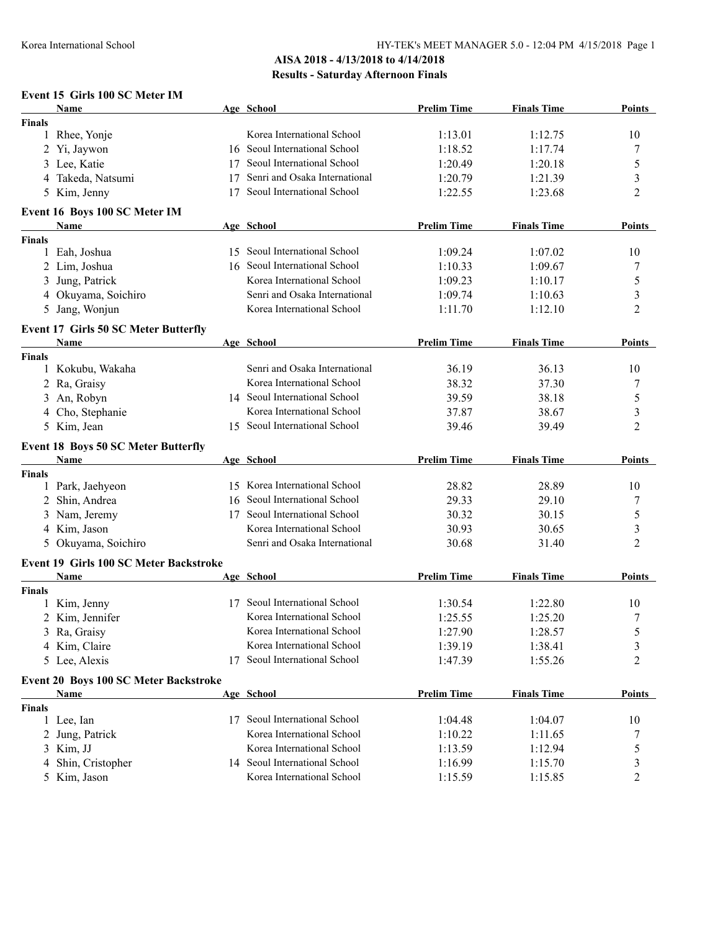## **AISA 2018 - 4/13/2018 to 4/14/2018 Results - Saturday Afternoon Finals**

#### **Event 15 Girls 100 SC Meter IM**

|               | Name                                                  |    | Age School                    | <b>Prelim Time</b> | <b>Finals Time</b> | Points        |
|---------------|-------------------------------------------------------|----|-------------------------------|--------------------|--------------------|---------------|
| <b>Finals</b> |                                                       |    |                               |                    |                    |               |
|               | 1 Rhee, Yonje                                         |    | Korea International School    | 1:13.01            | 1:12.75            | 10            |
|               | 2 Yi, Jaywon                                          | 16 | Seoul International School    | 1:18.52            | 1:17.74            | 7             |
|               | 3 Lee, Katie                                          | 17 | Seoul International School    | 1:20.49            | 1:20.18            | 5             |
|               | 4 Takeda, Natsumi                                     | 17 | Senri and Osaka International | 1:20.79            | 1:21.39            | 3             |
|               | 5 Kim, Jenny                                          | 17 | Seoul International School    | 1:22.55            | 1:23.68            | 2             |
|               | Event 16 Boys 100 SC Meter IM                         |    |                               |                    |                    |               |
|               | Name                                                  |    | Age School                    | <b>Prelim Time</b> | <b>Finals Time</b> | <b>Points</b> |
| Finals        |                                                       |    |                               |                    |                    |               |
|               | 1 Eah, Joshua                                         | 15 | Seoul International School    | 1:09.24            | 1:07.02            | 10            |
|               | 2 Lim, Joshua                                         | 16 | Seoul International School    | 1:10.33            | 1:09.67            | 7             |
|               | 3 Jung, Patrick                                       |    | Korea International School    | 1:09.23            | 1:10.17            | 5             |
|               | 4 Okuyama, Soichiro                                   |    | Senri and Osaka International | 1:09.74            | 1:10.63            | 3             |
|               | 5 Jang, Wonjun                                        |    | Korea International School    | 1:11.70            | 1:12.10            | 2             |
|               | <b>Event 17 Girls 50 SC Meter Butterfly</b>           |    |                               |                    |                    |               |
|               | Name                                                  |    | Age School                    | <b>Prelim Time</b> | <b>Finals Time</b> | <b>Points</b> |
| <b>Finals</b> |                                                       |    |                               |                    |                    |               |
|               | 1 Kokubu, Wakaha                                      |    | Senri and Osaka International | 36.19              | 36.13              | 10            |
|               | 2 Ra, Graisy                                          |    | Korea International School    | 38.32              | 37.30              | 7             |
| 3             | An, Robyn                                             |    | 14 Seoul International School | 39.59              | 38.18              | 5             |
| 4             | Cho, Stephanie                                        |    | Korea International School    | 37.87              | 38.67              | 3             |
|               | 5 Kim, Jean                                           |    | 15 Seoul International School | 39.46              | 39.49              | 2             |
|               | <b>Event 18 Boys 50 SC Meter Butterfly</b>            |    |                               |                    |                    |               |
|               | Name                                                  |    | Age School                    | <b>Prelim Time</b> | <b>Finals Time</b> | <b>Points</b> |
| Finals        |                                                       |    |                               |                    |                    |               |
|               | 1 Park, Jaehyeon                                      | 15 | Korea International School    | 28.82              | 28.89              | 10            |
| 2             | Shin, Andrea                                          | 16 | Seoul International School    | 29.33              | 29.10              | 7             |
| 3             | Nam, Jeremy                                           | 17 | Seoul International School    | 30.32              | 30.15              | 5             |
|               | 4 Kim, Jason                                          |    | Korea International School    | 30.93              | 30.65              | 3             |
|               | 5 Okuyama, Soichiro                                   |    | Senri and Osaka International | 30.68              | 31.40              | 2             |
|               |                                                       |    |                               |                    |                    |               |
|               | <b>Event 19 Girls 100 SC Meter Backstroke</b><br>Name |    | Age School                    | <b>Prelim Time</b> | <b>Finals Time</b> | Points        |
| Finals        |                                                       |    |                               |                    |                    |               |
| 1             | Kim, Jenny                                            |    | 17 Seoul International School | 1:30.54            | 1:22.80            | 10            |
|               | 2 Kim, Jennifer                                       |    | Korea International School    | 1:25.55            | 1:25.20            | 7             |
|               | 3 Ra, Graisy                                          |    | Korea International School    | 1:27.90            | 1:28.57            | 5             |
|               | 4 Kim, Claire                                         |    | Korea International School    | 1:39.19            | 1:38.41            | 3             |
|               | 5 Lee, Alexis                                         | 17 | Seoul International School    | 1:47.39            | 1:55.26            | 2             |
|               |                                                       |    |                               |                    |                    |               |
|               | Event 20 Boys 100 SC Meter Backstroke                 |    |                               |                    |                    |               |
|               | <b>Name</b>                                           |    | Age School                    | <b>Prelim Time</b> | <b>Finals Time</b> | <b>Points</b> |
| Finals        |                                                       |    | 17 Seoul International School |                    |                    |               |
|               | 1 Lee, Ian                                            |    | Korea International School    | 1:04.48            | 1:04.07            | 10            |
|               | 2 Jung, Patrick                                       |    |                               | 1:10.22            | 1:11.65            | 7             |
|               | 3 Kim, JJ                                             |    | Korea International School    | 1:13.59            | 1:12.94            | 5             |
| 4             | Shin, Cristopher                                      |    | 14 Seoul International School | 1:16.99            | 1:15.70            | 3             |
|               | 5 Kim, Jason                                          |    | Korea International School    | 1:15.59            | 1:15.85            | 2             |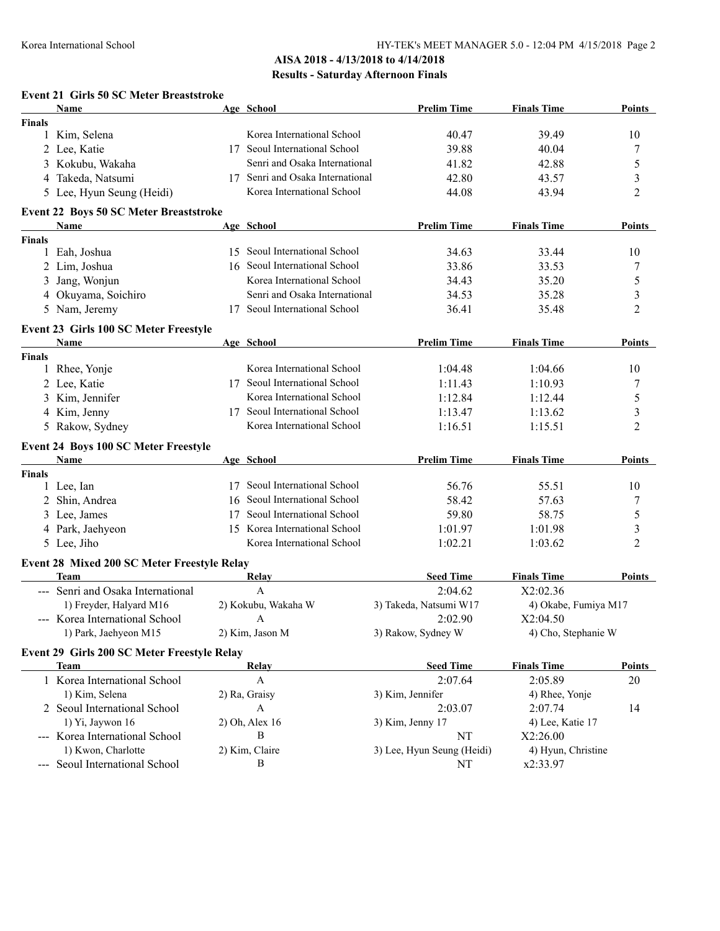### **AISA 2018 - 4/13/2018 to 4/14/2018 Results - Saturday Afternoon Finals**

|               | <b>Event 21 Girls 50 SC Meter Breaststroke</b> |    |                                  |                            |                      |                |
|---------------|------------------------------------------------|----|----------------------------------|----------------------------|----------------------|----------------|
|               | Name                                           |    | Age School                       | <b>Prelim Time</b>         | <b>Finals Time</b>   | Points         |
| <b>Finals</b> |                                                |    |                                  |                            |                      |                |
|               | 1 Kim, Selena                                  |    | Korea International School       | 40.47                      | 39.49                | 10             |
|               | 2 Lee, Katie                                   |    | 17 Seoul International School    | 39.88                      | 40.04                | 7              |
|               | 3 Kokubu, Wakaha                               |    | Senri and Osaka International    | 41.82                      | 42.88                | 5              |
|               | 4 Takeda, Natsumi                              |    | 17 Senri and Osaka International | 42.80                      | 43.57                | 3              |
|               | 5 Lee, Hyun Seung (Heidi)                      |    | Korea International School       | 44.08                      | 43.94                | 2              |
|               | <b>Event 22 Boys 50 SC Meter Breaststroke</b>  |    |                                  |                            |                      |                |
|               | Name                                           |    | Age School                       | <b>Prelim Time</b>         | <b>Finals Time</b>   | Points         |
| <b>Finals</b> |                                                |    |                                  |                            |                      |                |
| 1             | Eah, Joshua                                    | 15 | Seoul International School       | 34.63                      | 33.44                | 10             |
|               | 2 Lim, Joshua                                  |    | 16 Seoul International School    | 33.86                      | 33.53                | 7              |
|               | 3 Jang, Wonjun                                 |    | Korea International School       | 34.43                      | 35.20                | 5              |
|               | 4 Okuyama, Soichiro                            |    | Senri and Osaka International    | 34.53                      | 35.28                | 3              |
|               | 5 Nam, Jeremy                                  |    | 17 Seoul International School    | 36.41                      | 35.48                | 2              |
|               | Event 23 Girls 100 SC Meter Freestyle          |    |                                  |                            |                      |                |
|               | Name                                           |    | Age School                       | <b>Prelim Time</b>         | <b>Finals Time</b>   | <b>Points</b>  |
| <b>Finals</b> |                                                |    |                                  |                            |                      |                |
|               | 1 Rhee, Yonje                                  |    | Korea International School       | 1:04.48                    | 1:04.66              | 10             |
|               | 2 Lee, Katie                                   |    | 17 Seoul International School    | 1:11.43                    | 1:10.93              | 7              |
|               | 3 Kim, Jennifer                                |    | Korea International School       | 1:12.84                    | 1:12.44              | 5              |
|               | 4 Kim, Jenny                                   |    | 17 Seoul International School    | 1:13.47                    | 1:13.62              | 3              |
|               | 5 Rakow, Sydney                                |    | Korea International School       | 1:16.51                    | 1:15.51              | 2              |
|               | <b>Event 24 Boys 100 SC Meter Freestyle</b>    |    |                                  |                            |                      |                |
|               | Name                                           |    | Age School                       | <b>Prelim Time</b>         | <b>Finals Time</b>   | Points         |
| <b>Finals</b> |                                                |    |                                  |                            |                      |                |
|               | 1 Lee, Ian                                     | 17 | Seoul International School       | 56.76                      | 55.51                | 10             |
|               | 2 Shin, Andrea                                 | 16 | Seoul International School       | 58.42                      | 57.63                | 7              |
|               | 3 Lee, James                                   | 17 | Seoul International School       | 59.80                      | 58.75                | 5              |
|               | 4 Park, Jaehyeon                               | 15 | Korea International School       | 1:01.97                    | 1:01.98              | 3              |
|               | 5 Lee, Jiho                                    |    | Korea International School       | 1:02.21                    | 1:03.62              | $\overline{c}$ |
|               | Event 28 Mixed 200 SC Meter Freestyle Relay    |    |                                  |                            |                      |                |
|               | <b>Team</b>                                    |    | Relay                            | <b>Seed Time</b>           | <b>Finals Time</b>   | <b>Points</b>  |
|               | --- Senri and Osaka International              |    | $\mathbf{A}$                     | 2:04.62                    | X2:02.36             |                |
|               | 1) Freyder, Halyard M16                        |    | 2) Kokubu, Wakaha W              | 3) Takeda, Natsumi W17     | 4) Okabe, Fumiya M17 |                |
|               | --- Korea International School                 |    | A                                | 2:02.90                    | X2:04.50             |                |
|               | 1) Park, Jaehyeon M15                          |    | 2) Kim, Jason M                  | 3) Rakow, Sydney W         | 4) Cho, Stephanie W  |                |
|               |                                                |    |                                  |                            |                      |                |
|               | Event 29 Girls 200 SC Meter Freestyle Relay    |    |                                  |                            |                      |                |
|               | Team                                           |    | <b>Relay</b>                     | <b>Seed Time</b>           | <b>Finals Time</b>   | <b>Points</b>  |
|               | 1 Korea International School                   |    | A                                | 2:07.64                    | 2:05.89              | 20             |
|               | 1) Kim, Selena                                 |    | 2) Ra, Graisy                    | 3) Kim, Jennifer           | 4) Rhee, Yonje       |                |
|               | 2 Seoul International School                   |    | A                                | 2:03.07                    | 2:07.74              | 14             |
|               | 1) Yi, Jaywon 16                               |    | 2) Oh, Alex 16                   | 3) Kim, Jenny 17           | 4) Lee, Katie 17     |                |
|               | --- Korea International School                 |    | B                                | NT                         | X2:26.00             |                |
|               | 1) Kwon, Charlotte                             |    | 2) Kim, Claire                   | 3) Lee, Hyun Seung (Heidi) | 4) Hyun, Christine   |                |
|               | --- Seoul International School                 |    | Β                                | NT                         | x2:33.97             |                |